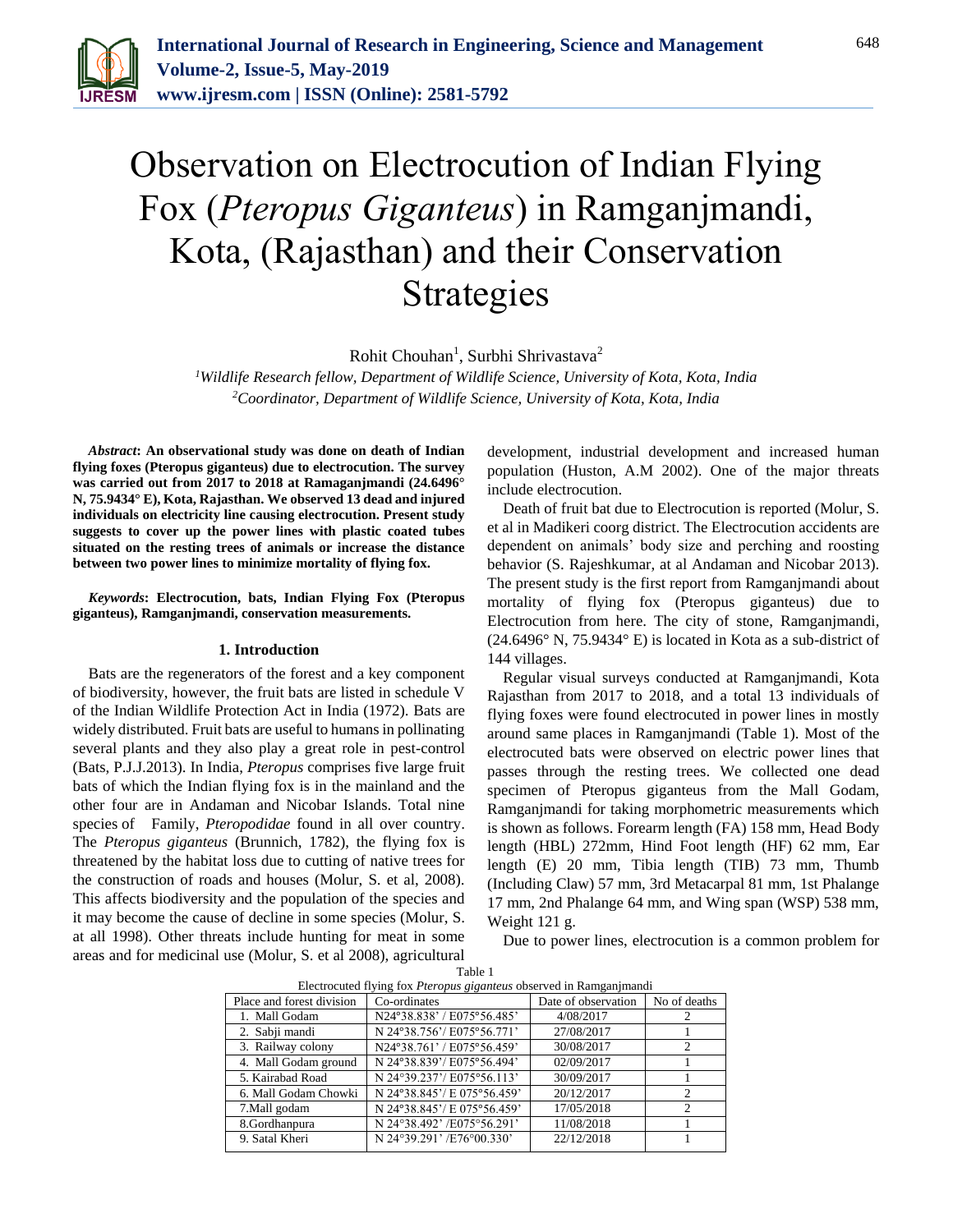

## Observation on Electrocution of Indian Flying Fox (*Pteropus Giganteus*) in Ramganjmandi, Kota, (Rajasthan) and their Conservation Strategies

Rohit Chouhan<sup>1</sup>, Surbhi Shrivastava<sup>2</sup>

*<sup>1</sup>Wildlife Research fellow, Department of Wildlife Science, University of Kota, Kota, India <sup>2</sup>Coordinator, Department of Wildlife Science, University of Kota, Kota, India*

*Abstract***: An observational study was done on death of Indian flying foxes (Pteropus giganteus) due to electrocution. The survey was carried out from 2017 to 2018 at Ramaganjmandi (24.6496° N, 75.9434° E), Kota, Rajasthan. We observed 13 dead and injured individuals on electricity line causing electrocution. Present study suggests to cover up the power lines with plastic coated tubes situated on the resting trees of animals or increase the distance between two power lines to minimize mortality of flying fox.**

*Keywords***: Electrocution, bats, Indian Flying Fox (Pteropus giganteus), Ramganjmandi, conservation measurements.** 

## **1. Introduction**

Bats are the regenerators of the forest and a key component of biodiversity, however, the fruit bats are listed in schedule V of the Indian Wildlife Protection Act in India (1972). Bats are widely distributed. Fruit bats are useful to humans in pollinating several plants and they also play a great role in pest-control (Bats, P.J.J.2013). In India, *Pteropus* comprises five large fruit bats of which the Indian flying fox is in the mainland and the other four are in Andaman and Nicobar Islands. Total nine species of Family, *Pteropodidae* found in all over country. The *Pteropus giganteus* (Brunnich, 1782), the flying fox is threatened by the habitat loss due to cutting of native trees for the construction of roads and houses (Molur, S. et al, 2008). This affects biodiversity and the population of the species and it may become the cause of decline in some species (Molur, S. at all 1998). Other threats include hunting for meat in some areas and for medicinal use (Molur, S. et al 2008), agricultural

development, industrial development and increased human population (Huston, A.M 2002). One of the major threats include electrocution.

Death of fruit bat due to Electrocution is reported (Molur, S. et al in Madikeri coorg district. The Electrocution accidents are dependent on animals' body size and perching and roosting behavior (S. Rajeshkumar, at al Andaman and Nicobar 2013). The present study is the first report from Ramganjmandi about mortality of flying fox (Pteropus giganteus) due to Electrocution from here. The city of stone, Ramganjmandi, (24.6496° N, 75.9434° E) is located in Kota as a sub-district of 144 villages.

Regular visual surveys conducted at Ramganjmandi, Kota Rajasthan from 2017 to 2018, and a total 13 individuals of flying foxes were found electrocuted in power lines in mostly around same places in Ramganjmandi (Table 1). Most of the electrocuted bats were observed on electric power lines that passes through the resting trees. We collected one dead specimen of Pteropus giganteus from the Mall Godam, Ramganjmandi for taking morphometric measurements which is shown as follows. Forearm length (FA) 158 mm, Head Body length (HBL) 272mm, Hind Foot length (HF) 62 mm, Ear length (E) 20 mm, Tibia length (TIB) 73 mm, Thumb (Including Claw) 57 mm, 3rd Metacarpal 81 mm, 1st Phalange 17 mm, 2nd Phalange 64 mm, and Wing span (WSP) 538 mm, Weight 121 g.

Due to power lines, electrocution is a common problem for

| Electrocuted flying fox <i>Pteropus giganteus</i> observed in Ramganimandi |                             |                     |              |
|----------------------------------------------------------------------------|-----------------------------|---------------------|--------------|
| Place and forest division                                                  | Co-ordinates                | Date of observation | No of deaths |
| 1. Mall Godam                                                              | N24°38.838' / E075°56.485'  | 4/08/2017           |              |
| 2. Sabji mandi                                                             | N 24°38.756'/ E075°56.771'  | 27/08/2017          |              |
| 3. Railway colony                                                          | N24°38.761' / E075°56.459'  | 30/08/2017          |              |
| 4. Mall Godam ground                                                       | N 24°38.839'/ E075°56.494'  | 02/09/2017          |              |
| 5. Kairabad Road                                                           | N 24°39.237'/ E075°56.113'  | 30/09/2017          |              |
| 6. Mall Godam Chowki                                                       | N 24°38.845'/ E 075°56.459' | 20/12/2017          | 2            |
| 7. Mall godam                                                              | N 24°38.845'/ E 075°56.459' | 17/05/2018          |              |
| 8.Gordhanpura                                                              | N 24°38.492' /E075°56.291'  | 11/08/2018          |              |
| 9. Satal Kheri                                                             | N 24°39.291' /E76°00.330'   | 22/12/2018          |              |

Table 1